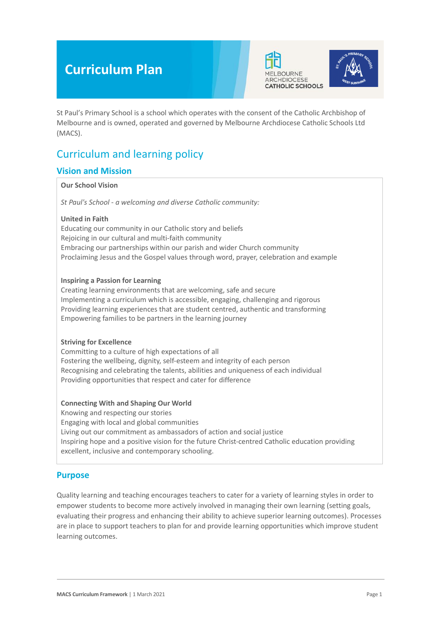# **Curriculum Plan**





St Paul's Primary School is a school which operates with the consent of the Catholic Archbishop of Melbourne and is owned, operated and governed by Melbourne Archdiocese Catholic Schools Ltd (MACS).

## Curriculum and learning policy

### **Vision and Mission**

#### **Our School Vision**

*St Paul's School - a welcoming and diverse Catholic community:*

#### **United in Faith**

Educating our community in our Catholic story and beliefs Rejoicing in our cultural and multi-faith community Embracing our partnerships within our parish and wider Church community Proclaiming Jesus and the Gospel values through word, prayer, celebration and example

#### **Inspiring a Passion for Learning**

Creating learning environments that are welcoming, safe and secure Implementing a curriculum which is accessible, engaging, challenging and rigorous Providing learning experiences that are student centred, authentic and transforming Empowering families to be partners in the learning journey

### **Striving for Excellence**

Committing to a culture of high expectations of all Fostering the wellbeing, dignity, self-esteem and integrity of each person Recognising and celebrating the talents, abilities and uniqueness of each individual Providing opportunities that respect and cater for difference

#### **Connecting With and Shaping Our World**

Knowing and respecting our stories Engaging with local and global communities Living out our commitment as ambassadors of action and social justice Inspiring hope and a positive vision for the future Christ-centred Catholic education providing excellent, inclusive and contemporary schooling.

### **Purpose**

Quality learning and teaching encourages teachers to cater for a variety of learning styles in order to empower students to become more actively involved in managing their own learning (setting goals, evaluating their progress and enhancing their ability to achieve superior learning outcomes). Processes are in place to support teachers to plan for and provide learning opportunities which improve student learning outcomes.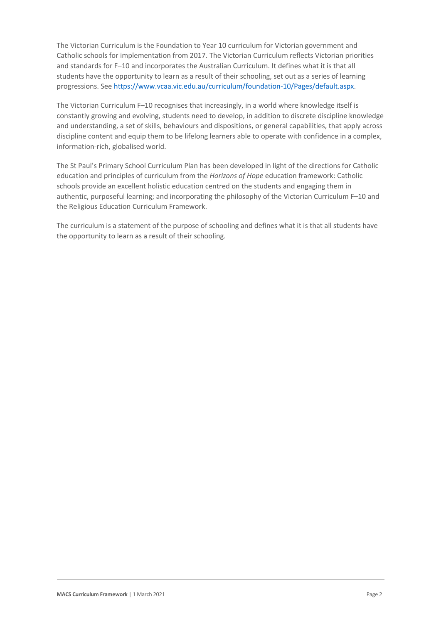The Victorian Curriculum is the Foundation to Year 10 curriculum for Victorian government and Catholic schools for implementation from 2017. The Victorian Curriculum reflects Victorian priorities and standards for F–10 and incorporates the Australian Curriculum. It defines what it is that all students have the opportunity to learn as a result of their schooling, set out as a series of learning progressions. Se[e https://www.vcaa.vic.edu.au/curriculum/foundation-10/Pages/default.aspx.](https://www.vcaa.vic.edu.au/curriculum/foundation-10/Pages/default.aspx)

The Victorian Curriculum F–10 recognises that increasingly, in a world where knowledge itself is constantly growing and evolving, students need to develop, in addition to discrete discipline knowledge and understanding, a set of skills, behaviours and dispositions, or general capabilities, that apply across discipline content and equip them to be lifelong learners able to operate with confidence in a complex, information-rich, globalised world.

The St Paul's Primary School Curriculum Plan has been developed in light of the directions for Catholic education and principles of curriculum from the *Horizons of Hope* education framework: Catholic schools provide an excellent holistic education centred on the students and engaging them in authentic, purposeful learning; and incorporating the philosophy of the Victorian Curriculum F–10 and the Religious Education Curriculum Framework.

The curriculum is a statement of the purpose of schooling and defines what it is that all students have the opportunity to learn as a result of their schooling.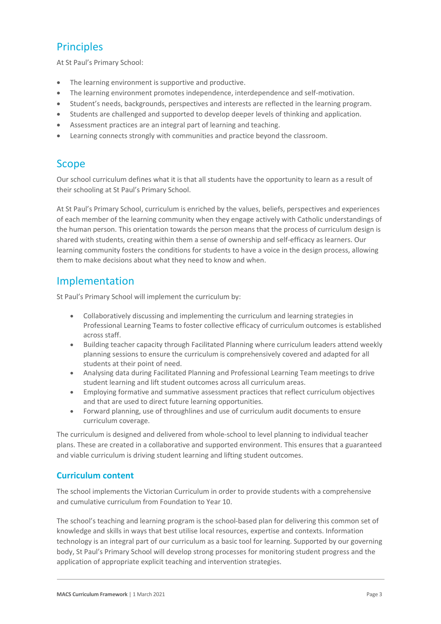## **Principles**

At St Paul's Primary School:

- The learning environment is supportive and productive.
- The learning environment promotes independence, interdependence and self-motivation.
- Student's needs, backgrounds, perspectives and interests are reflected in the learning program.
- Students are challenged and supported to develop deeper levels of thinking and application.
- Assessment practices are an integral part of learning and teaching.
- Learning connects strongly with communities and practice beyond the classroom.

## Scope

Our school curriculum defines what it is that all students have the opportunity to learn as a result of their schooling at St Paul's Primary School.

At St Paul's Primary School, curriculum is enriched by the values, beliefs, perspectives and experiences of each member of the learning community when they engage actively with Catholic understandings of the human person. This orientation towards the person means that the process of curriculum design is shared with students, creating within them a sense of ownership and self-efficacy as learners. Our learning community fosters the conditions for students to have a voice in the design process, allowing them to make decisions about what they need to know and when.

## Implementation

St Paul's Primary School will implement the curriculum by:

- Collaboratively discussing and implementing the curriculum and learning strategies in Professional Learning Teams to foster collective efficacy of curriculum outcomes is established across staff.
- Building teacher capacity through Facilitated Planning where curriculum leaders attend weekly planning sessions to ensure the curriculum is comprehensively covered and adapted for all students at their point of need.
- Analysing data during Facilitated Planning and Professional Learning Team meetings to drive student learning and lift student outcomes across all curriculum areas.
- Employing formative and summative assessment practices that reflect curriculum objectives and that are used to direct future learning opportunities.
- Forward planning, use of throughlines and use of curriculum audit documents to ensure curriculum coverage.

The curriculum is designed and delivered from whole-school to level planning to individual teacher plans. These are created in a collaborative and supported environment. This ensures that a guaranteed and viable curriculum is driving student learning and lifting student outcomes.

### **Curriculum content**

The school implements the Victorian Curriculum in order to provide students with a comprehensive and cumulative curriculum from Foundation to Year 10.

The school's teaching and learning program is the school-based plan for delivering this common set of knowledge and skills in ways that best utilise local resources, expertise and contexts. Information technology is an integral part of our curriculum as a basic tool for learning. Supported by our governing body, St Paul's Primary School will develop strong processes for monitoring student progress and the application of appropriate explicit teaching and intervention strategies.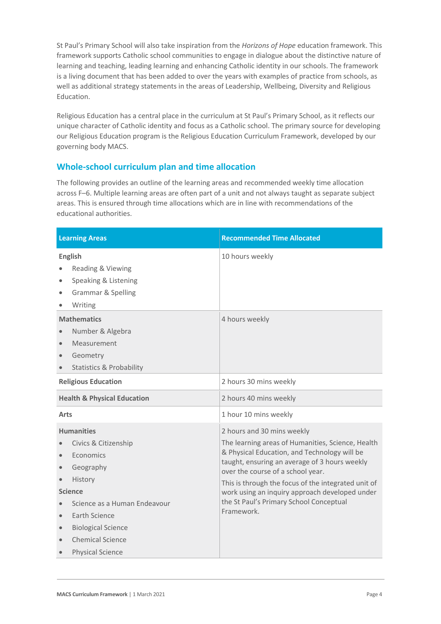St Paul's Primary School will also take inspiration from the *Horizons of Hope* education framework. This framework supports Catholic school communities to engage in dialogue about the distinctive nature of learning and teaching, leading learning and enhancing Catholic identity in our schools. The framework is a living document that has been added to over the years with examples of practice from schools, as well as additional strategy statements in the areas of Leadership, Wellbeing, Diversity and Religious Education.

Religious Education has a central place in the curriculum at St Paul's Primary School, as it reflects our unique character of Catholic identity and focus as a Catholic school. The primary source for developing our Religious Education program is the Religious Education Curriculum Framework, developed by our governing body MACS.

### **Whole-school curriculum plan and time allocation**

The following provides an outline of the learning areas and recommended weekly time allocation across F–6. Multiple learning areas are often part of a unit and not always taught as separate subject areas. This is ensured through time allocations which are in line with recommendations of the educational authorities.

| <b>Learning Areas</b>                                                                                                                                                                                                                             | <b>Recommended Time Allocated</b>                                                                                                                                                                                                                                                                                                                                                       |
|---------------------------------------------------------------------------------------------------------------------------------------------------------------------------------------------------------------------------------------------------|-----------------------------------------------------------------------------------------------------------------------------------------------------------------------------------------------------------------------------------------------------------------------------------------------------------------------------------------------------------------------------------------|
| <b>English</b><br>Reading & Viewing<br>Speaking & Listening<br><b>Grammar &amp; Spelling</b><br>Writing                                                                                                                                           | 10 hours weekly                                                                                                                                                                                                                                                                                                                                                                         |
| <b>Mathematics</b><br>Number & Algebra<br>Measurement<br>Geometry<br><b>Statistics &amp; Probability</b>                                                                                                                                          | 4 hours weekly                                                                                                                                                                                                                                                                                                                                                                          |
| <b>Religious Education</b>                                                                                                                                                                                                                        | 2 hours 30 mins weekly                                                                                                                                                                                                                                                                                                                                                                  |
| <b>Health &amp; Physical Education</b>                                                                                                                                                                                                            | 2 hours 40 mins weekly                                                                                                                                                                                                                                                                                                                                                                  |
| <b>Arts</b>                                                                                                                                                                                                                                       | 1 hour 10 mins weekly                                                                                                                                                                                                                                                                                                                                                                   |
| <b>Humanities</b><br>Civics & Citizenship<br>Economics<br>Geography<br>History<br><b>Science</b><br>Science as a Human Endeavour<br>Earth Science<br>$\bullet$<br><b>Biological Science</b><br><b>Chemical Science</b><br><b>Physical Science</b> | 2 hours and 30 mins weekly<br>The learning areas of Humanities, Science, Health<br>& Physical Education, and Technology will be<br>taught, ensuring an average of 3 hours weekly<br>over the course of a school year.<br>This is through the focus of the integrated unit of<br>work using an inquiry approach developed under<br>the St Paul's Primary School Conceptual<br>Framework. |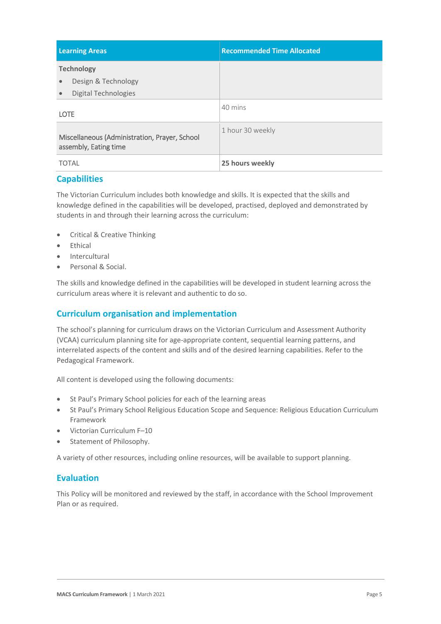| <b>Learning Areas</b>                                                                      | <b>Recommended Time Allocated</b> |
|--------------------------------------------------------------------------------------------|-----------------------------------|
| <b>Technology</b><br>Design & Technology<br>$\bullet$<br>Digital Technologies<br>$\bullet$ |                                   |
| <b>LOTE</b>                                                                                | 40 mins                           |
| Miscellaneous (Administration, Prayer, School<br>assembly, Eating time                     | 1 hour 30 weekly                  |
| <b>TOTAL</b>                                                                               | 25 hours weekly                   |

### **Capabilities**

The Victorian Curriculum includes both knowledge and skills. It is expected that the skills and knowledge defined in the capabilities will be developed, practised, deployed and demonstrated by students in and through their learning across the curriculum:

- Critical & Creative Thinking
- **Ethical**
- **Intercultural**
- Personal & Social.

The skills and knowledge defined in the capabilities will be developed in student learning across the curriculum areas where it is relevant and authentic to do so.

### **Curriculum organisation and implementation**

The school's planning for curriculum draws on the Victorian Curriculum and Assessment Authority (VCAA) curriculum planning site for age-appropriate content, sequential learning patterns, and interrelated aspects of the content and skills and of the desired learning capabilities. Refer to the Pedagogical Framework.

All content is developed using the following documents:

- St Paul's Primary School policies for each of the learning areas
- St Paul's Primary School Religious Education Scope and Sequence: Religious Education Curriculum Framework
- Victorian Curriculum F–10
- Statement of Philosophy.

A variety of other resources, including online resources, will be available to support planning.

### **Evaluation**

This Policy will be monitored and reviewed by the staff, in accordance with the School Improvement Plan or as required.